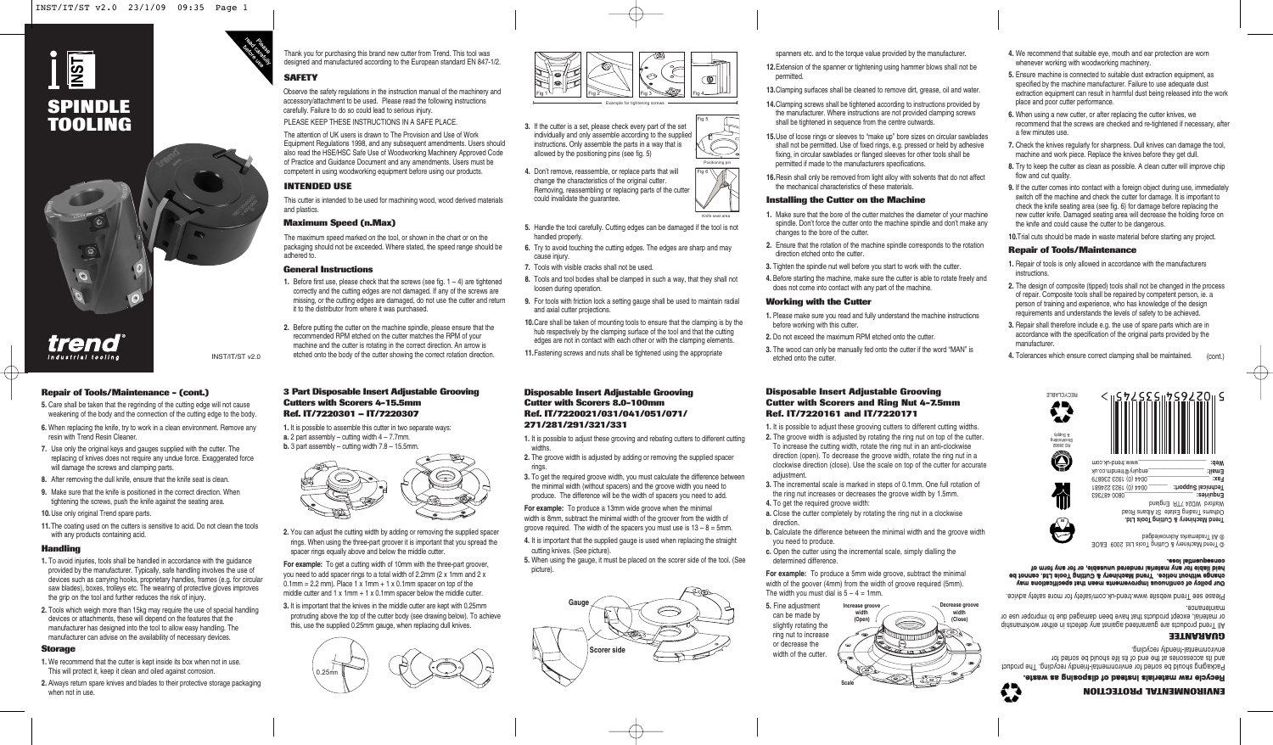# י§∥ **SPINDLE TOOLING**



*trend* 

### **Repair of Tools/Maintenance - (cont.)**

- **5.** Care shall be taken that the regrinding of the cutting edge will not cause weakening of the body and the connection of the cutting edge to the body.
- **6.** When replacing the knife, try to work in a clean environment. Remove any resin with Trend Resin Cleaner.

INST/IT/ST v2.0

- **7.** Use only the original keys and gauges supplied with the cutter. The replacing of knives does not require any undue force. Exaggerated force will damage the screws and clamping parts.
- **8.** After removing the dull knife, ensure that the knife seat is clean.
- **9.** Make sure that the knife is positioned in the correct direction. When tightening the screws, push the knife against the seating area.

**10.**Use only original Trend spare parts.

**11.**The coating used on the cutters is sensitive to acid. Do not clean the tools with any products containing acid.

### **Handling**

- **1.** To avoid injuries, tools shall be handled in accordance with the guidance provided by the manufacturer. Typically, safe handling involves the use of devices such as carrying hooks, proprietary handles, frames (e.g. for circular saw blades), boxes, trolleys etc. The wearing of protective gloves improves the grip on the tool and further reduces the risk of injury.
- **2.** Tools which weigh more than 15kg may require the use of special handling devices or attachments, these will depend on the features that the manufacturer has designed into the tool to allow easy handling. The manufacturer can advise on the availability of necessary devices.

### **Storage**

- **1.** We recommend that the cutter is kept inside its box when not in use. This will protect it, keep it clean and oiled against corrosion.
- **2.** Always return spare knives and blades to their protective storage packaging when not in use.



## **SAFETY**

Observe the safety regulations in the instruction manual of the machinery and accessory/attachment to be used. Please read the following instructions carefully. Failure to do so could lead to serious injury.

PLEASE KEEP THESE INSTRUCTIONS IN A SAFE PLACE.

The attention of UK users is drawn to The Provision and Use of Work Equipment Regulations 1998, and any subsequent amendments. Users should also read the HSE/HSC Safe Use of Woodworking Machinery Approved Code of Practice and Guidance Document and any amendments. Users must be competent in using woodworking equipment before using our products.

## **INTENDED USE**

This cutter is intended to be used for machining wood, wood derived materials and plastics.

### **Maximum Speed (n.Max)**

The maximum speed marked on the tool, or shown in the chart or on the packaging should not be exceeded. Where stated, the speed range should be adhered to.

### **General Instructions**

- **1.** Before first use, please check that the screws (see fig.  $1 4$ ) are tightened correctly and the cutting edges are not damaged. If any of the screws are missing, or the cutting edges are damaged, do not use the cutter and return it to the distributor from where it was purchased.
- **2.** Before putting the cutter on the machine spindle, please ensure that the recommended RPM etched on the cutter matches the RPM of your machine and the cutter is rotating in the correct direction. An arrow is etched onto the body of the cutter showing the correct rotation direction.

### **3 Part Disposable Insert Adjustable Grooving Cutters with Scorers 4-15.5mm Ref. IT/7220301 – IT/7220307**

**1.** It is possible to assemble this cutter in two separate ways: **a.** 2 part assembly – cutting width  $4 - 7.7$ mm. **b.** 3 part assembly – cutting width 7.8 – 15.5mm



**2.** You can adjust the cutting width by adding or removing the supplied spacer rings. When using the three-part groover it is important that you spread the spacer rings equally above and below the middle cutter.

**For example:** To get a cutting width of 10mm with the three-part groover, you need to add spacer rings to a total width of 2.2mm (2 x 1mm and 2 x  $0.1$ mm = 2.2 mm). Place 1 x 1mm + 1 x 0.1mm spacer on top of the middle cutter and  $1 \times 1$ mm +  $1 \times 0.1$ mm spacer below the middle cutter.

**3.** It is important that the knives in the middle cutter are kept with 0.25mm protruding above the top of the cutter body (see drawing below). To achieve this, use the supplied 0.25mm gauge, when replacing dull knives.





**3.** If the cutter is a set, please check every part of the set individually and only assemble according to the supplied instructions. Only assemble the parts in a way that is allowed by the positioning pins (see fig. 5) Fig 5

Positioning pin

Knife seat area

- **4.** Don't remove, reassemble, or replace parts that will change the characteristics of the original cutter. Removing, reassembling or replacing parts of the cutter could invalidate the guarantee. Fig 6
- **5.** Handle the tool carefully. Cutting edges can be damaged if the tool is not handled properly.
- **6.** Try to avoid touching the cutting edges. The edges are sharp and may cause injury.
- **7.** Tools with visible cracks shall not be used.
- **8.** Tools and tool bodies shall be clamped in such a way, that they shall not loosen during operation.
- **9.** For tools with friction lock a setting gauge shall be used to maintain radial and axial cutter projections.
- **10.**Care shall be taken of mounting tools to ensure that the clamping is by the hub respectively by the clamping surface of the tool and that the cutting edges are not in contact with each other or with the clamping elements.
- **11.**Fastening screws and nuts shall be tightened using the appropriate

### **Disposable Insert Adjustable Grooving Cutter with Scorers 8.0-100mm Ref. IT/7220021/031/041/051/071/ 271/281/291/321/331**

- **1.** It is possible to adjust these grooving and rebating cutters to different cutting widths.
- **2.** The groove width is adjusted by adding or removing the supplied spacer rings.
- **3.** To get the required groove width, you must calculate the difference between the minimal width (without spacers) and the groove width you need to produce. The difference will be the width of spacers you need to add.

**For example:** To produce a 13mm wide groove when the minimal width is 8mm, subtract the minimal width of the groover from the width of groove required. The width of the spacers you must use is  $13 - 8 = 5$ mm.

- **4.** It is important that the supplied gauge is used when replacing the straight cutting knives. (See picture).
- **5.** When using the gauge, it must be placed on the scorer side of the tool. (See picture).



spanners etc. and to the torque value provided by the manufacturer.

- **12.**Extension of the spanner or tightening using hammer blows shall not be permitted.
- **13.**Clamping surfaces shall be cleaned to remove dirt, grease, oil and water.
- **14.**Clamping screws shall be tightened according to instructions provided by the manufacturer. Where instructions are not provided clamping screws shall be tightened in sequence from the centre outwards.
- **15.**Use of loose rings or sleeves to "make up" bore sizes on circular sawblades shall not be permitted. Use of fixed rings, e.g. pressed or held by adhesive fixing, in circular sawblades or flanged sleeves for other tools shall be permitted if made to the manufacturers specifications.
- **16.**Resin shall only be removed from light alloy with solvents that do not affect the mechanical characteristics of these materials.

### **Installing the Cutter on the Machine**

- **1.** Make sure that the bore of the cutter matches the diameter of your machine spindle. Don't force the cutter onto the machine spindle and don't make any changes to the bore of the cutter.
- **2.** Ensure that the rotation of the machine spindle corresponds to the rotation direction etched onto the cutter.
- **3.** Tighten the spindle nut well before you start to work with the cutter.
- **4.** Before starting the machine, make sure the cutter is able to rotate freely and does not come into contact with any part of the machine.

### **Working with the Cutter**

- **1.** Please make sure you read and fully understand the machine instructions before working with this cutter.
- **2.** Do not exceed the maximum RPM etched onto the cutter.
- **3.** The wood can only be manually fed onto the cutter if the word "MAN" is etched onto the cutter.

### **Disposable Insert Adjustable Grooving Cutter with Scorers and Ring Nut 4-7.5mm Ref. IT/7220161 and IT/7220171**

**1.** It is possible to adjust these grooving cutters to different cutting widths.

- **2.** The groove width is adjusted by rotating the ring nut on top of the cutter. To increase the cutting width, rotate the ring nut in an anti-clockwise direction (open). To decrease the groove width, rotate the ring nut in a clockwise direction (close). Use the scale on top of the cutter for accurate adiustment.
- **3.** The incremental scale is marked in steps of 0.1mm. One full rotation of the ring nut increases or decreases the groove width by 1.5mm. **4.** To get the required groove width:
- **a.** Close the cutter completely by rotating the ring nut in a clockwise direction.
- **b.** Calculate the difference between the minimal width and the groove width you need to produce.
- **c.** Open the cutter using the incremental scale, simply dialling the determined difference.

**For example:** To produce a 5mm wide groove, subtract the minimal width of the goover (4mm) from the width of groove required (5mm). The width you must dial is  $5 - 4 = 1$ mm.



- **4.** We recommend that suitable eye, mouth and ear protection are worn whenever working with woodworking machinery.
- **5.** Ensure machine is connected to suitable dust extraction equipment, as specified by the machine manufacturer. Failure to use adequate dust extraction equipment can result in harmful dust being released into the work place and poor cutter performance.
- **6.** When using a new cutter, or after replacing the cutter knives, we recommend that the screws are checked and re-tightened if necessary, after a few minutes use.
- **7.** Check the knives regularly for sharpness. Dull knives can damage the tool, machine and work piece. Replace the knives before they get dull.
- **8.** Try to keep the cutter as clean as possible. A clean cutter will improve chip flow and cut quality.
- **9.** If the cutter comes into contact with a foreign object during use, immediately switch off the machine and check the cutter for damage. It is important to check the knife seating area (see fig. 6) for damage before replacing the new cutter knife. Damaged seating area will decrease the holding force on the knife and could cause the cutter to be dangerous.
- **10.**Trial cuts should be made in waste material before starting any project.

### **Repair of Tools/Maintenance**

- **1.** Repair of tools is only allowed in accordance with the manufacturers instructions.
- **2.** The design of composite (tipped) tools shall not be changed in the process of repair. Composite tools shall be repaired by competent person, ie. a person of training and experience, who has knowledge of the design requirements and understands the levels of safety to be achieved.
- **3.** Repair shall therefore include e.g. the use of spare parts which are in accordance with the specification of the original parts provided by the manufacturer.
- **4.** Tolerances which ensure correct clamping shall be maintained.  $(cont.)$



# held liable for any national rendered unusable, or for any form of<br>consequential loss.

Our policy of continuous improvements mean that specifications may<br>Our policy of continuous linerovements mean that specifications may

Please see Trend website www.trend-uk.com/safety for more safety advice.

All Trend products are guaranteed against any defects in either workmanship or material, except products that have been damaged due to improper use or maintenance.

**GUARANTEE**

Packaging should be sorted for environmental-friendly recycling. The product and its accessories at the end of its life should be sorted for environmental-friendly recycling.

 **Fecycle raw materials instead of disposing as waste** 

▓

**ENVIRONMENTAL PROTECTION**